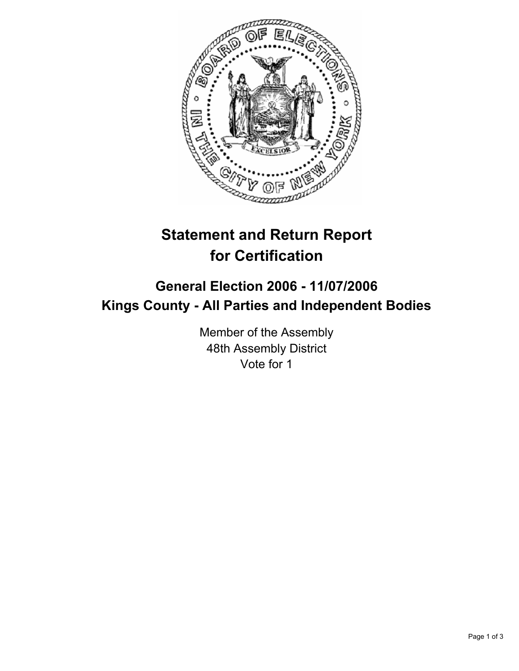

## **Statement and Return Report for Certification**

## **General Election 2006 - 11/07/2006 Kings County - All Parties and Independent Bodies**

Member of the Assembly 48th Assembly District Vote for 1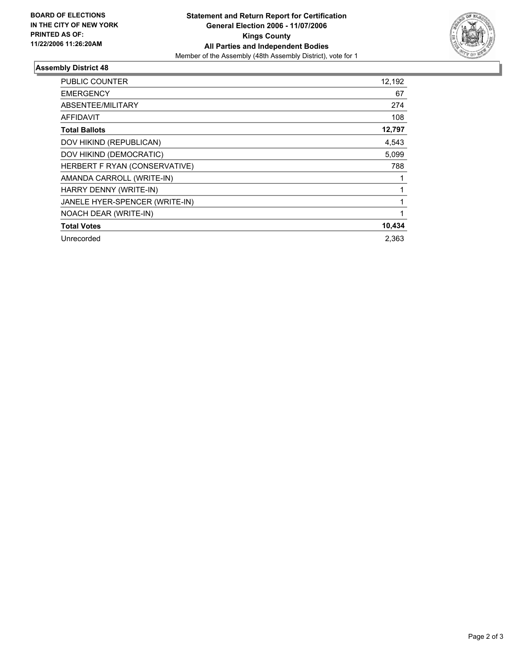

## **Assembly District 48**

| PUBLIC COUNTER                 | 12,192 |
|--------------------------------|--------|
| <b>EMERGENCY</b>               | 67     |
| ABSENTEE/MILITARY              | 274    |
| <b>AFFIDAVIT</b>               | 108    |
| <b>Total Ballots</b>           | 12,797 |
| DOV HIKIND (REPUBLICAN)        | 4,543  |
| DOV HIKIND (DEMOCRATIC)        | 5,099  |
| HERBERT F RYAN (CONSERVATIVE)  | 788    |
| AMANDA CARROLL (WRITE-IN)      |        |
| HARRY DENNY (WRITE-IN)         |        |
| JANELE HYER-SPENCER (WRITE-IN) |        |
| NOACH DEAR (WRITE-IN)          |        |
| <b>Total Votes</b>             | 10,434 |
| Unrecorded                     | 2,363  |